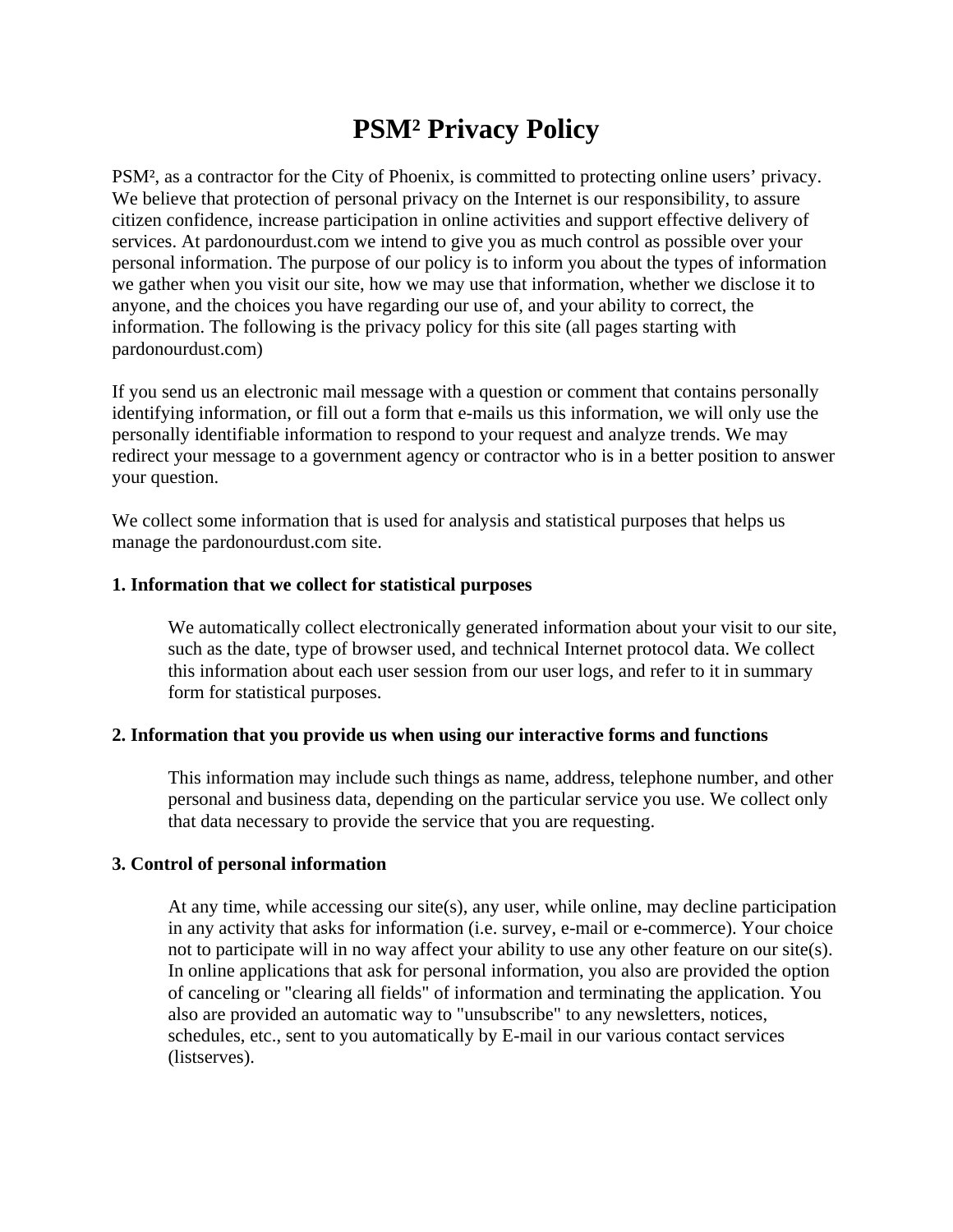# **PSM² Privacy Policy**

PSM², as a contractor for the City of Phoenix, is committed to protecting online users' privacy. We believe that protection of personal privacy on the Internet is our responsibility, to assure citizen confidence, increase participation in online activities and support effective delivery of services. At pardonourdust.com we intend to give you as much control as possible over your personal information. The purpose of our policy is to inform you about the types of information we gather when you visit our site, how we may use that information, whether we disclose it to anyone, and the choices you have regarding our use of, and your ability to correct, the information. The following is the privacy policy for this site (all pages starting with pardonourdust.com)

If you send us an electronic mail message with a question or comment that contains personally identifying information, or fill out a form that e-mails us this information, we will only use the personally identifiable information to respond to your request and analyze trends. We may redirect your message to a government agency or contractor who is in a better position to answer your question.

We collect some information that is used for analysis and statistical purposes that helps us manage the pardonourdust.com site.

## **1. Information that we collect for statistical purposes**

We automatically collect electronically generated information about your visit to our site, such as the date, type of browser used, and technical Internet protocol data. We collect this information about each user session from our user logs, and refer to it in summary form for statistical purposes.

# **2. Information that you provide us when using our interactive forms and functions**

This information may include such things as name, address, telephone number, and other personal and business data, depending on the particular service you use. We collect only that data necessary to provide the service that you are requesting.

# **3. Control of personal information**

At any time, while accessing our site(s), any user, while online, may decline participation in any activity that asks for information (i.e. survey, e-mail or e-commerce). Your choice not to participate will in no way affect your ability to use any other feature on our site(s). In online applications that ask for personal information, you also are provided the option of canceling or "clearing all fields" of information and terminating the application. You also are provided an automatic way to "unsubscribe" to any newsletters, notices, schedules, etc., sent to you automatically by E-mail in our various contact services (listserves).